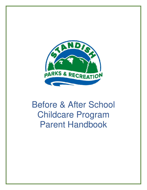

# Before & After School Childcare Program Parent Handbook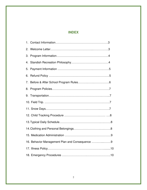# **INDEX**

| 2.                                             |  |  |  |
|------------------------------------------------|--|--|--|
| 3.                                             |  |  |  |
| 4.                                             |  |  |  |
| 5.                                             |  |  |  |
| 6.                                             |  |  |  |
| 7.                                             |  |  |  |
| 8.                                             |  |  |  |
|                                                |  |  |  |
|                                                |  |  |  |
|                                                |  |  |  |
|                                                |  |  |  |
|                                                |  |  |  |
|                                                |  |  |  |
|                                                |  |  |  |
| 16. Behavior Management Plan and Consequence 9 |  |  |  |
|                                                |  |  |  |
|                                                |  |  |  |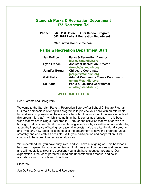# **Standish Parks & Recreation Department 175 Northeast Rd.**

 **Phone: 642-2298 Before & After School Program 642-2875 Parks & Recreation Department** 

**Web: www.standishrec.com** 

# **Parks & Recreation Department Staff**

| <b>Jen DeRice</b>  | <b>Parks &amp; Recreation Director</b><br>jderice@standish.org |
|--------------------|----------------------------------------------------------------|
| <b>Ryan French</b> | <b>Assistant Recreation Director</b>                           |
|                    | rfrench@standish.org                                           |
| Jennifer Berger    | <b>Childcare Coordinator</b>                                   |
|                    | jberger@standish.org                                           |
| <b>Gail Platts</b> | <b>Adult &amp; Community Events Coordinator</b>                |
|                    | gplatts@standish.org                                           |
| <b>Ed Platts</b>   | <b>Parks &amp; Facilities Coordinator</b>                      |
|                    | eplatts@standish.org                                           |

## **WELCOME LETTER**

Dear Parents and Caregivers,

Welcome to the Standish Parks & Recreation Before/After School Childcare Program! Our main emphasis in offering this program is to provide your child with an affordable, fun and safe program during before and after school hours. One of the key elements of this program is "play" – which is something that is sometimes forgotten in this busy world that we are raising our children in. Through the activities that we offer, we are hoping to help children develop some life-long leisure skills, as well as an understanding about the importance of having recreational interests. We are a family friendly program and invite any new ideas. It is the goal of the department to have the program run as smoothly and efficiently as possible. With your participation and cooperation, it will continue to be a premium recreational program.

We understand that you have busy lives, and you have a lot going on. This handbook has been prepared for your convenience. It informs you of our policies and procedures and will hopefully answer the questions you might have about our program. Our expectation is that each parent will read and understand this manual and act in accordance with our policies. Thank you!

Sincerely,

Jen DeRice, Director of Parks and Recreation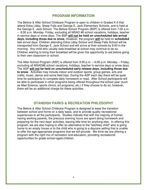#### **PROGRAM INFORMATION**

The Before & After School Childcare Program is open to children in Grades K-5 that attend Edna Libby, Steep Falls and George E. Jack Elementary Schools, and is held at the George E. Jack School. The Before School Program (BSP) is offered from 7:00 a.m. – 8:30 a.m. Monday- Friday, excluding all MSAD #6 school vacations, holidays, teacher in-service days or snow days. The BSP **will not be held on unscheduled late arrival days, including those due to snow.** However, the program **will** be held on **scheduled**  late arrival days. Children attending Edna Libby School and Steep Falls School will be transported from George E. Jack School and will arrive at their schools by 8:50 in the morning. Any child who usually eats breakfast at school may continue to do so. Children wishing to bring their breakfast will be given the opportunity to eat before going to their own classroom or school.

The After-School Program (ASP) is offered from 3:00 p.m. – 6:00 p.m. Monday – Friday, excluding all MSAD#6 school vacations, holidays, teacher in-service days or snow days. The ASP **will not be held on unscheduled early release days, including those due to snow**. Activities may include indoor and outdoor sports, group games, arts and crafts, music, dance and some field trips. During the ASP each day there will be quiet time for participants to complete daily homework or read. After School participants will be able to participate in other programs being offered throughout the school year (such as Mad Science, sports clinics, art programs, etc.) if they choose to do so; however, there will be an additional charge for these activities.

#### **STANDISH PARKS & RECREATION PHILOSOPHY**

The Before & After School Childcare Program is designed to ease the transition between school and home on a daily basis, and to provide quality recreational experiences to all the participants. Studies indicate that with the majority of homes having working parents, the precious evening hours are spent doing homework and preparing for the next days' activities, leaving little time for anything else. In offering this program, we are also hoping to offer an alternative to the "latchkey child" who is going home to an empty house or to the child who is going to a daycare setting that is unable to offer the age-appropriate programs that we will provide. We think we are offering a program with the right mix of recreation and education, providing recreational opportunities for grade school-aged children.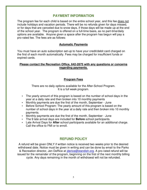## **PAYMENT INFORMATION**

The program fee for each child is based on the entire school year, and this fee does not include holidays and vacation periods. There will be no refunds given for days missed, or for days that are canceled due to snow days, if those days will be made up at the end of the school year. The program is offered on a full-time basis, as no part-time/daily options are available. Anyone given a space after the program has begun will pay a pro-rated fee. The fees are as follows:

#### **Automatic Payments**

You must have an auto subscription set-up to have your credit/debit card charged on the first of each month automatically. Fees may be charged for insufficient funds or expired cards.

#### **Please contact the Recreation Office, 642-2875 with any questions or concerns regarding payments.**

#### **Program Fees**

There are no daily options available for the After-School Program. It is a full week program.

- The yearly amount of this program is based on the number of school days in the year at a daily rate and then broken into 10 monthly payments
- Monthly payments are due the first of the month, September June
- Before School Program: The yearly amount of this program is based on the number of school days in the year at a daily rate and then broken into 10 monthly payments.
- Monthly payments are due the first of the month, September June
- The 9 late arrival days are included for **Before** school participants.
- Late Arrival Days for **After** school participants available for an additional charge. Call the office to FMI or to enroll.

# **REFUND POLICY**

A refund will be given ONLY if written notice is received two weeks prior to the desired withdrawal date. Notice must be given in writing and can be done by email to the Parks & Recreation director, Jen DeRice at *jderice@standish.org*. A pro-rated refund will be issued for the remainder of the program, beginning on the first of the next monthly billing cycle. Any days remaining in the month of withdrawal will not be refunded.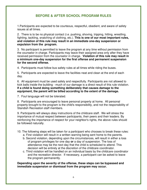# **BEFORE & AFTER SCHOOL PROGRAM RULES**

1.Participants are expected to be courteous, respectful, obedient, and aware of safety issues at all times.

2. There is to be no physical contact (i.e. pushing, shoving, tripping, hitting, wrestling, fighting, tackling, snatching of clothing, etc.). **This is one of our most important rules, and violation of this rule may result in an immediate one-day suspension or expulsion from the program.** 

3. No participant is permitted to leave the program at any time without permission from the counselor in charge. Participants may leave their assigned area only after they have received permission from the counselor in charge. **Violation of this rule may result in a minimum one-day suspension for the first offense and permanent suspension for the second offense.** 

4. Participants must follow bus safety rules at all times while riding the buses.

5. Participants are expected to leave the facilities neat and clean at the end of each day.

6. All equipment must be used safely and respectfully. Participants are not allowed to kick balls inside the building - much of our damage is a direct result of this rule violation. **If a child is found doing something deliberately that causes damage to the equipment, the parent will be billed according to the extent of the damage.** 

7. Foul language will not be tolerated.

8. Participants are encouraged to leave personal property at home. All personal property brought to the program is the child's responsibility, and not the responsibility of Standish Recreation staff members.

9. Participants will always obey instructions of the childcare staff. We will stress the importance of mutual respect between participants, their peers and their leaders. By reinforcing the importance of respect for your neighbor's rights, the above rules should be followed naturally.

- 10. The following steps will be taken for a participant who chooses to break these rules:
	- a. First violation will result in a written warning being sent home to the parents.
	- b. Second violation, depending upon the circumstances, will result in either a loss of program privileges for one day **or** a day of suspension. The loss of attendance may be the next day that the child is scheduled to attend. This decision will be entirely at the discretion of the childcare coordinator.
	- c. Third violation will be handled on an individual basis by the childcare coordinator and the recreation director. If necessary, a participant can be asked to leave the program permanently.

**Depending upon the severity of the offense, these steps can be bypassed and immediate suspension or dismissal from the program may occur.**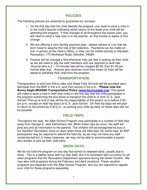## **POLICIES**

The following policies are essential to guarantee our success:

- 1. On the first day that the child attends the program, you need to send a note in to the child's teacher indicating which day(s) of the week your child will be attending the program. If that changes at all throughout the school year, you will need to send a new note in to the teacher, so that he/she is aware of this change.
- 2. We are offering a very flexible payment plan please adhere to it so that we don't need to assume the role of bill collectors. Payments can be made online, in person at the Clerk's Office, or they can be mailed directly to Standish Recreation, 175 Northeast Road, Standish, 04084.
- 3. Parents will be charged a fine whenever they are late in picking up their child, as we will need to pay the staff members who are required to work late. Anyone who is 5 – 10 minutes late will be charged \$5.00; then \$1.00 per minute after that. Anyone who receives more than three (3) fines will be asked to withdraw their child from the program.

## **TRANSPORTATION**

Transportation to and from Edna Libby and Steep Falls Schools will be provided upon dismissal from the BSP in the a.m. and from school in the p.m. **\*Please note the Bonny Eagle MSAD#6 Transportation Policy (www.bonnyeagle.org).** The parent will need to send a note in with their child on the first day that the child participates in the program authorizing the bus driver to transport the child to or from G. E. Jack School. Pick-up at end of day will be the responsibility of the parent, at or before 5:30 pm p.m. (except on field trip days) at G. E. Jack School. On field trip days we will plan to return to the school by 5:30 p.m., so picking your child up early on those days will not be possible.

## **FIELD TRIPS**

Throughout the year, the After-School Program may participate in a number of field trips away from George E. Jack Elementary site. When these trips do occur, the staff will post any and all information to the parents. The children will be transported by bus or the Standish Recreation Vans on days when there are field trips. On some trips, all ASP participants may be required to attend the field trip, as we may not have any staff remaining behind. In these instances, we may not be able to accommodate a parent who wishes to pick up their child early.

### **SNOW DAYS**

We do not hold the program on any day that school is released early, usually due to snow. This is a liability issue with our own staff, and it is consistent with our policy for all other programs that the Recreation Department sponsors during the winter months. We may also hold programs during the February and April vacations. These vacation programs are separate from the After-School Program, and you are required to register your child for these programs separately.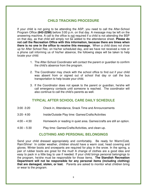## **CHILD TRACKING PROCEDURE**

If your child is not going to be attending the ASP, you need to call the After-School Program Office **(642-2298)** before 3:00 p.m. on that day. A message may be left on the answering machine. A call to the office is not required if a child is not attending the BSP on that day, as that child will simply not be added to the attendance sheet. **Please do not call the Recreation Office with this information, because there are times when there is no one in the office to receive this message.** When a child does not show up for After School Rec. on his/her scheduled day, and we have not received a note or a phone call informing us of his/her absence, the following steps will be taken to help locate your child:

- 1. The After-School Coordinator will contact the parent or guardian to confirm the child's absence from the program.
- 2. The Coordinator may check with the school office to find out if your child was absent from or signed out of school that day or call the bus transportation to help locate your child.
- 3. If the Coordinator does not speak to the parent or guardian, he/she will call emergency contacts until someone is reached. The coordinator will also continue to call the child's parents as well.

## **TYPICAL AFTER SCHOOL CARE DAILY SCHEDULE**

| $3:00 - 3:20$ | Check in, Attendance, Snack Time and Announcements |
|---------------|----------------------------------------------------|
| $3:20 - 4:00$ | Inside/Outside Play time: Games/Crafts/Activities  |

- 4:00 4:30 Homework or reading in quiet area. Games/crafts are still an option.
- 4:30 5:30 Play time: Games/Crafts/Activities, and clean-up.

### **CLOTHING AND PERSONAL BELONGINGS**

Send your child dressed appropriately and comfortably. Be ready for Warm/Cold, Rain/Shine! In colder weather, children should have a warm coat, head covering and gloves. Winter boots and snowpants are required for play in the snow. In the spring, a pair of rubber boots are great for the mud! A change of clothes are a good idea and easy to pack in a little bag to use if needed. If your child brings personal belongings to the program, he/she must be responsible for those items. **The Standish Recreation Department will not be responsible for any personal items (including clothing) that are damaged, stolen, or lost.** Parents are asked to monitor what children bring or wear to the program.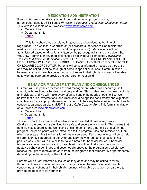#### **MEDICATION ADMINISTRATION**

If your child needs to take any type of medication during program hours, parents/guardians MUST fill out a Physician's Request to Administer Medication Form. This form is available on our website: www.standishrec.com:

- General Info
- $\triangleright$  Department Info
- > Forms

This form should be completed in advance and provided at the time of registration. The Childcare Coordinator (or childcare supervisor) will administer the medication prescribed (prescription and non-prescription). Medications will be administered based on directions written by the parent/guardian and physician. Staff WILL NOT administer any medications to a child without a completed Physician's Request to Administer Medication Form. PLEASE DO NOT SEND IN ANY TYPE OF MEDICATIONS WITH YOUR CHILDREN. PLEASE HAND THEM DIRECTLY TO THE CHILDCARE COORDINATOR. Parents will be kept informed of issues as they arise and may be asked to follow through at home in special situations. Communication between staff and parents concerning any changes in their child's routines will enable us to work as partners to provide the best care for your child.

#### **BEHAVIOR MANAGEMENT PLAN AND CONSEQUENCES**

Our staff will use positive methods of child management, which will encourage selfcontrol, self-direction, self-esteem and cooperation. Staff understands that each child is an individual, and we will make every effort to handle the needs of each child. We believe that rules, expectations, and limits should be applied consistently and explained in a clear and age appropriate manner. If your child has any behavioral or mental health concerns, parents/guardians MUST fill out a Child Concern Form This form is available on our website: www.standishrec.com:

- $\triangleright$  General Info
- $\triangleright$  Department Info
- Forms

This form should be completed in advance and provided at time of registration. Children in the program are entitled to a safe and secure environment. This means that no child may jeopardize the well-being of his/herself or any other child or staff, in the program. All participants will be introduced to the program rules and reminded of them when necessary. Positive behavior will be encouraged. Part of our efforts will be to help children identify inappropriate behavior and learn how to redirect their actions in a positive way. Staff will ask a child to "take a break" for behavior issues. If behavior issues are continuous with a child, parents will be notified to discuss the situation. If negative behavior continues and becomes disruptive to the program as a whole, we reserve the right to remove the child from the program either temporarily or permanently depending on the severity of the situation.

Parents will be kept informed of issues as they arise and may be asked to follow through at home in special situations. Communication between staff and parents concerning any changes in their child's routines will enable us to work as partners to provide the best care for your child.